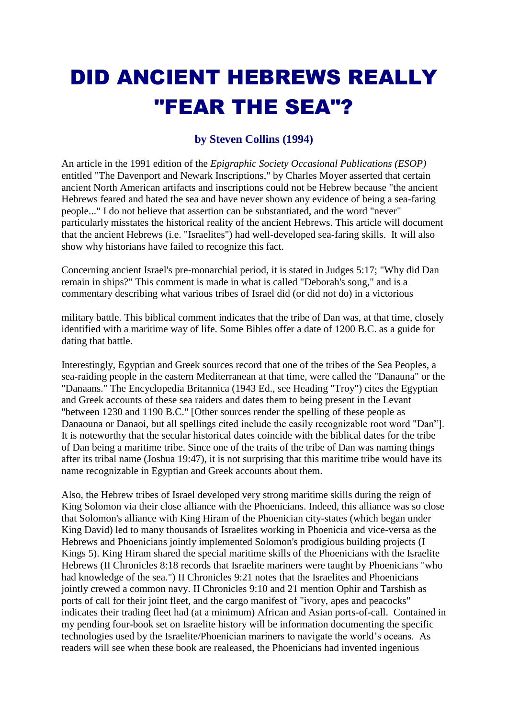## DID ANCIENT HEBREWS REALLY "FEAR THE SEA"?

## **by Steven Collins (1994)**

An article in the 1991 edition of the *Epigraphic Society Occasional Publications (ESOP)*  entitled "The Davenport and Newark Inscriptions," by Charles Moyer asserted that certain ancient North American artifacts and inscriptions could not be Hebrew because "the ancient Hebrews feared and hated the sea and have never shown any evidence of being a sea-faring people..." I do not believe that assertion can be substantiated, and the word "never" particularly misstates the historical reality of the ancient Hebrews. This article will document that the ancient Hebrews (i.e. "Israelites") had well-developed sea-faring skills. It will also show why historians have failed to recognize this fact.

Concerning ancient Israel's pre-monarchial period, it is stated in Judges 5:17; "Why did Dan remain in ships?" This comment is made in what is called "Deborah's song," and is a commentary describing what various tribes of Israel did (or did not do) in a victorious

military battle. This biblical comment indicates that the tribe of Dan was, at that time, closely identified with a maritime way of life. Some Bibles offer a date of 1200 B.C. as a guide for dating that battle.

Interestingly, Egyptian and Greek sources record that one of the tribes of the Sea Peoples, a sea-raiding people in the eastern Mediterranean at that time, were called the "Danauna" or the "Danaans." The Encyclopedia Britannica (1943 Ed., see Heading "Troy") cites the Egyptian and Greek accounts of these sea raiders and dates them to being present in the Levant "between 1230 and 1190 B.C." [Other sources render the spelling of these people as Danaouna or Danaoi, but all spellings cited include the easily recognizable root word "Dan"]. It is noteworthy that the secular historical dates coincide with the biblical dates for the tribe of Dan being a maritime tribe. Since one of the traits of the tribe of Dan was naming things after its tribal name (Joshua 19:47), it is not surprising that this maritime tribe would have its name recognizable in Egyptian and Greek accounts about them.

Also, the Hebrew tribes of Israel developed very strong maritime skills during the reign of King Solomon via their close alliance with the Phoenicians. Indeed, this alliance was so close that Solomon's alliance with King Hiram of the Phoenician city-states (which began under King David) led to many thousands of Israelites working in Phoenicia and vice-versa as the Hebrews and Phoenicians jointly implemented Solomon's prodigious building projects (I Kings 5). King Hiram shared the special maritime skills of the Phoenicians with the Israelite Hebrews (II Chronicles 8:18 records that Israelite mariners were taught by Phoenicians "who had knowledge of the sea.") II Chronicles 9:21 notes that the Israelites and Phoenicians jointly crewed a common navy. II Chronicles 9:10 and 21 mention Ophir and Tarshish as ports of call for their joint fleet, and the cargo manifest of "ivory, apes and peacocks" indicates their trading fleet had (at a minimum) African and Asian ports-of-call. Contained in my pending four-book set on Israelite history will be information documenting the specific technologies used by the Israelite/Phoenician mariners to navigate the world's oceans. As readers will see when these book are realeased, the Phoenicians had invented ingenious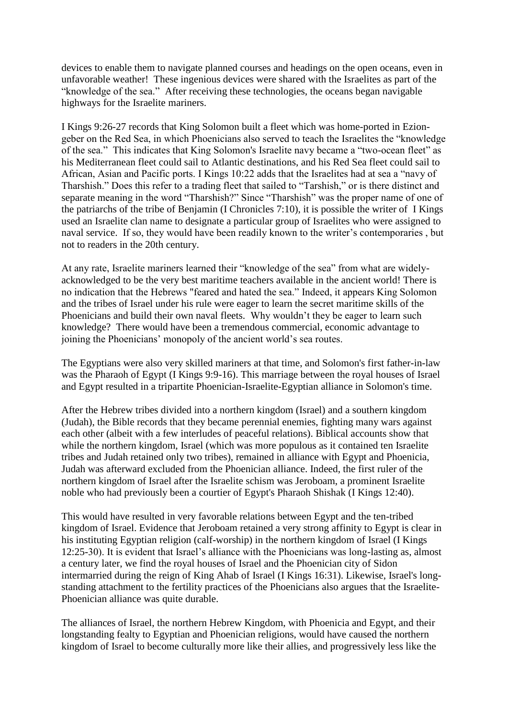devices to enable them to navigate planned courses and headings on the open oceans, even in unfavorable weather! These ingenious devices were shared with the Israelites as part of the "knowledge of the sea." After receiving these technologies, the oceans began navigable highways for the Israelite mariners.

I Kings 9:26-27 records that King Solomon built a fleet which was home-ported in Eziongeber on the Red Sea, in which Phoenicians also served to teach the Israelites the "knowledge of the sea." This indicates that King Solomon's Israelite navy became a "two-ocean fleet" as his Mediterranean fleet could sail to Atlantic destinations, and his Red Sea fleet could sail to African, Asian and Pacific ports. I Kings 10:22 adds that the Israelites had at sea a "navy of Tharshish." Does this refer to a trading fleet that sailed to "Tarshish," or is there distinct and separate meaning in the word "Tharshish?" Since "Tharshish" was the proper name of one of the patriarchs of the tribe of Benjamin (I Chronicles 7:10), it is possible the writer of I Kings used an Israelite clan name to designate a particular group of Israelites who were assigned to naval service. If so, they would have been readily known to the writer's contemporaries , but not to readers in the 20th century.

At any rate, Israelite mariners learned their "knowledge of the sea" from what are widelyacknowledged to be the very best maritime teachers available in the ancient world! There is no indication that the Hebrews "feared and hated the sea." Indeed, it appears King Solomon and the tribes of Israel under his rule were eager to learn the secret maritime skills of the Phoenicians and build their own naval fleets. Why wouldn't they be eager to learn such knowledge? There would have been a tremendous commercial, economic advantage to joining the Phoenicians' monopoly of the ancient world's sea routes.

The Egyptians were also very skilled mariners at that time, and Solomon's first father-in-law was the Pharaoh of Egypt (I Kings 9:9-16). This marriage between the royal houses of Israel and Egypt resulted in a tripartite Phoenician-Israelite-Egyptian alliance in Solomon's time.

After the Hebrew tribes divided into a northern kingdom (Israel) and a southern kingdom (Judah), the Bible records that they became perennial enemies, fighting many wars against each other (albeit with a few interludes of peaceful relations). Biblical accounts show that while the northern kingdom, Israel (which was more populous as it contained ten Israelite tribes and Judah retained only two tribes), remained in alliance with Egypt and Phoenicia, Judah was afterward excluded from the Phoenician alliance. Indeed, the first ruler of the northern kingdom of Israel after the Israelite schism was Jeroboam, a prominent Israelite noble who had previously been a courtier of Egypt's Pharaoh Shishak (I Kings 12:40).

This would have resulted in very favorable relations between Egypt and the ten-tribed kingdom of Israel. Evidence that Jeroboam retained a very strong affinity to Egypt is clear in his instituting Egyptian religion (calf-worship) in the northern kingdom of Israel (I Kings 12:25-30). It is evident that Israel's alliance with the Phoenicians was long-lasting as, almost a century later, we find the royal houses of Israel and the Phoenician city of Sidon intermarried during the reign of King Ahab of Israel (I Kings 16:31). Likewise, Israel's longstanding attachment to the fertility practices of the Phoenicians also argues that the Israelite-Phoenician alliance was quite durable.

The alliances of Israel, the northern Hebrew Kingdom, with Phoenicia and Egypt, and their longstanding fealty to Egyptian and Phoenician religions, would have caused the northern kingdom of Israel to become culturally more like their allies, and progressively less like the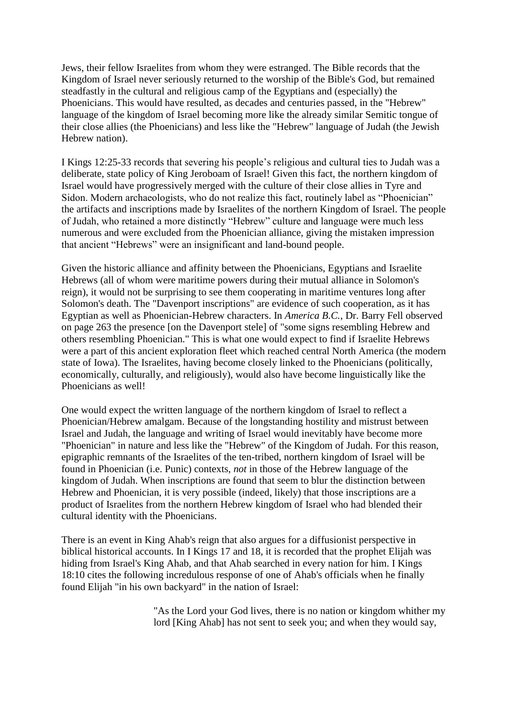Jews, their fellow Israelites from whom they were estranged. The Bible records that the Kingdom of Israel never seriously returned to the worship of the Bible's God, but remained steadfastly in the cultural and religious camp of the Egyptians and (especially) the Phoenicians. This would have resulted, as decades and centuries passed, in the "Hebrew" language of the kingdom of Israel becoming more like the already similar Semitic tongue of their close allies (the Phoenicians) and less like the "Hebrew" language of Judah (the Jewish Hebrew nation).

I Kings 12:25-33 records that severing his people's religious and cultural ties to Judah was a deliberate, state policy of King Jeroboam of Israel! Given this fact, the northern kingdom of Israel would have progressively merged with the culture of their close allies in Tyre and Sidon. Modern archaeologists, who do not realize this fact, routinely label as "Phoenician" the artifacts and inscriptions made by Israelites of the northern Kingdom of Israel. The people of Judah, who retained a more distinctly "Hebrew" culture and language were much less numerous and were excluded from the Phoenician alliance, giving the mistaken impression that ancient "Hebrews" were an insignificant and land-bound people.

Given the historic alliance and affinity between the Phoenicians, Egyptians and Israelite Hebrews (all of whom were maritime powers during their mutual alliance in Solomon's reign), it would not be surprising to see them cooperating in maritime ventures long after Solomon's death. The "Davenport inscriptions" are evidence of such cooperation, as it has Egyptian as well as Phoenician-Hebrew characters. In *America B.C.*, Dr. Barry Fell observed on page 263 the presence [on the Davenport stele] of "some signs resembling Hebrew and others resembling Phoenician." This is what one would expect to find if Israelite Hebrews were a part of this ancient exploration fleet which reached central North America (the modern state of Iowa). The Israelites, having become closely linked to the Phoenicians (politically, economically, culturally, and religiously), would also have become linguistically like the Phoenicians as well!

One would expect the written language of the northern kingdom of Israel to reflect a Phoenician/Hebrew amalgam. Because of the longstanding hostility and mistrust between Israel and Judah, the language and writing of Israel would inevitably have become more "Phoenician" in nature and less like the "Hebrew" of the Kingdom of Judah. For this reason, epigraphic remnants of the Israelites of the ten-tribed, northern kingdom of Israel will be found in Phoenician (i.e. Punic) contexts, *not* in those of the Hebrew language of the kingdom of Judah. When inscriptions are found that seem to blur the distinction between Hebrew and Phoenician, it is very possible (indeed, likely) that those inscriptions are a product of Israelites from the northern Hebrew kingdom of Israel who had blended their cultural identity with the Phoenicians.

There is an event in King Ahab's reign that also argues for a diffusionist perspective in biblical historical accounts. In I Kings 17 and 18, it is recorded that the prophet Elijah was hiding from Israel's King Ahab, and that Ahab searched in every nation for him. I Kings 18:10 cites the following incredulous response of one of Ahab's officials when he finally found Elijah "in his own backyard" in the nation of Israel:

> "As the Lord your God lives, there is no nation or kingdom whither my lord [King Ahab] has not sent to seek you; and when they would say,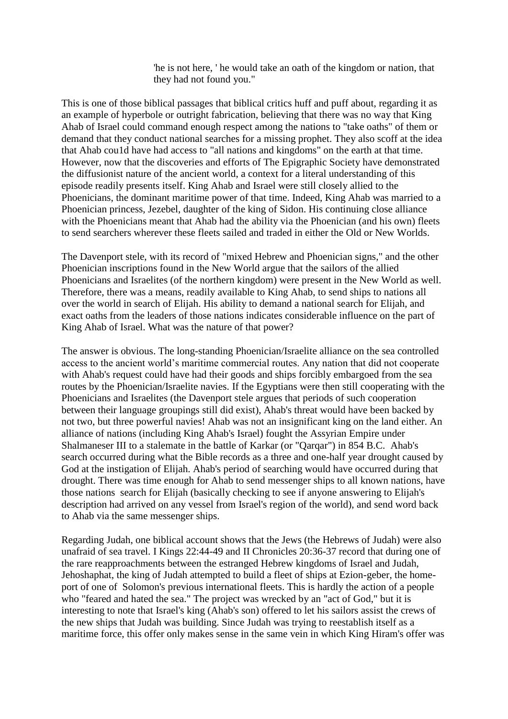'he is not here, ' he would take an oath of the kingdom or nation, that they had not found you."

This is one of those biblical passages that biblical critics huff and puff about, regarding it as an example of hyperbole or outright fabrication, believing that there was no way that King Ahab of Israel could command enough respect among the nations to "take oaths" of them or demand that they conduct national searches for a missing prophet. They also scoff at the idea that Ahab cou1d have had access to "all nations and kingdoms" on the earth at that time. However, now that the discoveries and efforts of The Epigraphic Society have demonstrated the diffusionist nature of the ancient world, a context for a literal understanding of this episode readily presents itself. King Ahab and Israel were still closely allied to the Phoenicians, the dominant maritime power of that time. Indeed, King Ahab was married to a Phoenician princess, Jezebel, daughter of the king of Sidon. His continuing close alliance with the Phoenicians meant that Ahab had the ability via the Phoenician (and his own) fleets to send searchers wherever these fleets sailed and traded in either the Old or New Worlds.

The Davenport stele, with its record of "mixed Hebrew and Phoenician signs," and the other Phoenician inscriptions found in the New World argue that the sailors of the allied Phoenicians and Israelites (of the northern kingdom) were present in the New World as well. Therefore, there was a means, readily available to King Ahab, to send ships to nations all over the world in search of Elijah. His ability to demand a national search for Elijah, and exact oaths from the leaders of those nations indicates considerable influence on the part of King Ahab of Israel. What was the nature of that power?

The answer is obvious. The long-standing Phoenician/Israelite alliance on the sea controlled access to the ancient world's maritime commercial routes. Any nation that did not cooperate with Ahab's request could have had their goods and ships forcibly embargoed from the sea routes by the Phoenician/Israelite navies. If the Egyptians were then still cooperating with the Phoenicians and Israelites (the Davenport stele argues that periods of such cooperation between their language groupings still did exist), Ahab's threat would have been backed by not two, but three powerful navies! Ahab was not an insignificant king on the land either. An alliance of nations (including King Ahab's Israel) fought the Assyrian Empire under Shalmaneser III to a stalemate in the battle of Karkar (or "Qarqar") in 854 B.C. Ahab's search occurred during what the Bible records as a three and one-half year drought caused by God at the instigation of Elijah. Ahab's period of searching would have occurred during that drought. There was time enough for Ahab to send messenger ships to all known nations, have those nations search for Elijah (basically checking to see if anyone answering to Elijah's description had arrived on any vessel from Israel's region of the world), and send word back to Ahab via the same messenger ships.

Regarding Judah, one biblical account shows that the Jews (the Hebrews of Judah) were also unafraid of sea travel. I Kings 22:44-49 and II Chronicles 20:36-37 record that during one of the rare reapproachments between the estranged Hebrew kingdoms of Israel and Judah, Jehoshaphat, the king of Judah attempted to build a fleet of ships at Ezion-geber, the homeport of one of Solomon's previous international fleets. This is hardly the action of a people who "feared and hated the sea." The project was wrecked by an "act of God," but it is interesting to note that Israel's king (Ahab's son) offered to let his sailors assist the crews of the new ships that Judah was building. Since Judah was trying to reestablish itself as a maritime force, this offer only makes sense in the same vein in which King Hiram's offer was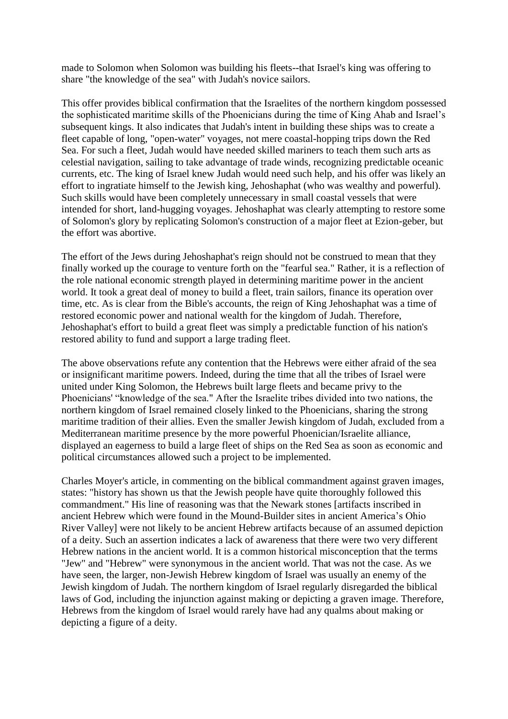made to Solomon when Solomon was building his fleets--that Israel's king was offering to share "the knowledge of the sea" with Judah's novice sailors.

This offer provides biblical confirmation that the Israelites of the northern kingdom possessed the sophisticated maritime skills of the Phoenicians during the time of King Ahab and Israel's subsequent kings. It also indicates that Judah's intent in building these ships was to create a fleet capable of long, "open-water" voyages, not mere coastal-hopping trips down the Red Sea. For such a fleet, Judah would have needed skilled mariners to teach them such arts as celestial navigation, sailing to take advantage of trade winds, recognizing predictable oceanic currents, etc. The king of Israel knew Judah would need such help, and his offer was likely an effort to ingratiate himself to the Jewish king, Jehoshaphat (who was wealthy and powerful). Such skills would have been completely unnecessary in small coastal vessels that were intended for short, land-hugging voyages. Jehoshaphat was clearly attempting to restore some of Solomon's glory by replicating Solomon's construction of a major fleet at Ezion-geber, but the effort was abortive.

The effort of the Jews during Jehoshaphat's reign should not be construed to mean that they finally worked up the courage to venture forth on the "fearful sea." Rather, it is a reflection of the role national economic strength played in determining maritime power in the ancient world. It took a great deal of money to build a fleet, train sailors, finance its operation over time, etc. As is clear from the Bible's accounts, the reign of King Jehoshaphat was a time of restored economic power and national wealth for the kingdom of Judah. Therefore, Jehoshaphat's effort to build a great fleet was simply a predictable function of his nation's restored ability to fund and support a large trading fleet.

The above observations refute any contention that the Hebrews were either afraid of the sea or insignificant maritime powers. Indeed, during the time that all the tribes of Israel were united under King Solomon, the Hebrews built large fleets and became privy to the Phoenicians' "knowledge of the sea." After the Israelite tribes divided into two nations, the northern kingdom of Israel remained closely linked to the Phoenicians, sharing the strong maritime tradition of their allies. Even the smaller Jewish kingdom of Judah, excluded from a Mediterranean maritime presence by the more powerful Phoenician/Israelite alliance, displayed an eagerness to build a large fleet of ships on the Red Sea as soon as economic and political circumstances allowed such a project to be implemented.

Charles Moyer's article, in commenting on the biblical commandment against graven images, states: "history has shown us that the Jewish people have quite thoroughly followed this commandment." His line of reasoning was that the Newark stones [artifacts inscribed in ancient Hebrew which were found in the Mound-Builder sites in ancient America's Ohio River Valley] were not likely to be ancient Hebrew artifacts because of an assumed depiction of a deity. Such an assertion indicates a lack of awareness that there were two very different Hebrew nations in the ancient world. It is a common historical misconception that the terms "Jew" and "Hebrew" were synonymous in the ancient world. That was not the case. As we have seen, the larger, non-Jewish Hebrew kingdom of Israel was usually an enemy of the Jewish kingdom of Judah. The northern kingdom of Israel regularly disregarded the biblical laws of God, including the injunction against making or depicting a graven image. Therefore, Hebrews from the kingdom of Israel would rarely have had any qualms about making or depicting a figure of a deity.